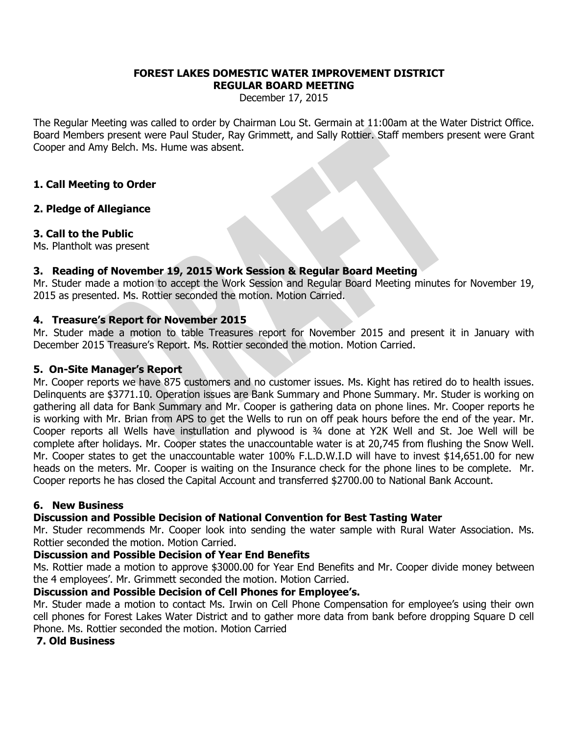#### **FOREST LAKES DOMESTIC WATER IMPROVEMENT DISTRICT REGULAR BOARD MEETING**

December 17, 2015

The Regular Meeting was called to order by Chairman Lou St. Germain at 11:00am at the Water District Office. Board Members present were Paul Studer, Ray Grimmett, and Sally Rottier. Staff members present were Grant Cooper and Amy Belch. Ms. Hume was absent.

# **1. Call Meeting to Order**

## **2. Pledge of Allegiance**

## **3. Call to the Public**

Ms. Plantholt was present

## **3. Reading of November 19, 2015 Work Session & Regular Board Meeting**

Mr. Studer made a motion to accept the Work Session and Regular Board Meeting minutes for November 19, 2015 as presented. Ms. Rottier seconded the motion. Motion Carried.

## **4. Treasure's Report for November 2015**

Mr. Studer made a motion to table Treasures report for November 2015 and present it in January with December 2015 Treasure's Report. Ms. Rottier seconded the motion. Motion Carried.

### **5. On-Site Manager's Report**

Mr. Cooper reports we have 875 customers and no customer issues. Ms. Kight has retired do to health issues. Delinquents are \$3771.10. Operation issues are Bank Summary and Phone Summary. Mr. Studer is working on gathering all data for Bank Summary and Mr. Cooper is gathering data on phone lines. Mr. Cooper reports he is working with Mr. Brian from APS to get the Wells to run on off peak hours before the end of the year. Mr. Cooper reports all Wells have instullation and plywood is ¾ done at Y2K Well and St. Joe Well will be complete after holidays. Mr. Cooper states the unaccountable water is at 20,745 from flushing the Snow Well. Mr. Cooper states to get the unaccountable water 100% F.L.D.W.I.D will have to invest \$14,651.00 for new heads on the meters. Mr. Cooper is waiting on the Insurance check for the phone lines to be complete. Mr. Cooper reports he has closed the Capital Account and transferred \$2700.00 to National Bank Account.

### **6. New Business**

# **Discussion and Possible Decision of National Convention for Best Tasting Water**

Mr. Studer recommends Mr. Cooper look into sending the water sample with Rural Water Association. Ms. Rottier seconded the motion. Motion Carried.

### **Discussion and Possible Decision of Year End Benefits**

Ms. Rottier made a motion to approve \$3000.00 for Year End Benefits and Mr. Cooper divide money between the 4 employees'. Mr. Grimmett seconded the motion. Motion Carried.

### **Discussion and Possible Decision of Cell Phones for Employee's.**

Mr. Studer made a motion to contact Ms. Irwin on Cell Phone Compensation for employee's using their own cell phones for Forest Lakes Water District and to gather more data from bank before dropping Square D cell Phone. Ms. Rottier seconded the motion. Motion Carried

### **7. Old Business**